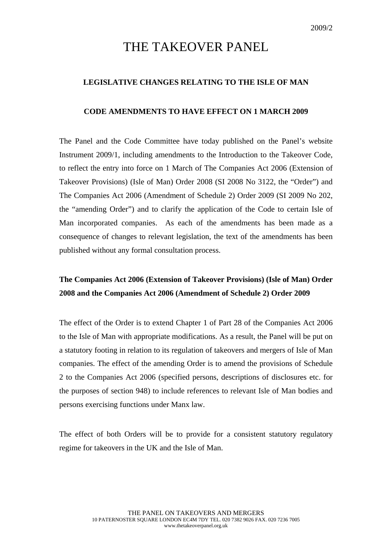# THE TAKEOVER PANEL

### **LEGISLATIVE CHANGES RELATING TO THE ISLE OF MAN**

#### **CODE AMENDMENTS TO HAVE EFFECT ON 1 MARCH 2009**

The Panel and the Code Committee have today published on the Panel's website Instrument 2009/1, including amendments to the Introduction to the Takeover Code, to reflect the entry into force on 1 March of The Companies Act 2006 (Extension of Takeover Provisions) (Isle of Man) Order 2008 (SI 2008 No 3122, the "Order") and The Companies Act 2006 (Amendment of Schedule 2) Order 2009 (SI 2009 No 202, the "amending Order") and to clarify the application of the Code to certain Isle of Man incorporated companies. As each of the amendments has been made as a consequence of changes to relevant legislation, the text of the amendments has been published without any formal consultation process.

## **The Companies Act 2006 (Extension of Takeover Provisions) (Isle of Man) Order 2008 and the Companies Act 2006 (Amendment of Schedule 2) Order 2009**

The effect of the Order is to extend Chapter 1 of Part 28 of the Companies Act 2006 to the Isle of Man with appropriate modifications. As a result, the Panel will be put on a statutory footing in relation to its regulation of takeovers and mergers of Isle of Man companies. The effect of the amending Order is to amend the provisions of Schedule 2 to the Companies Act 2006 (specified persons, descriptions of disclosures etc. for the purposes of section 948) to include references to relevant Isle of Man bodies and persons exercising functions under Manx law.

The effect of both Orders will be to provide for a consistent statutory regulatory regime for takeovers in the UK and the Isle of Man.